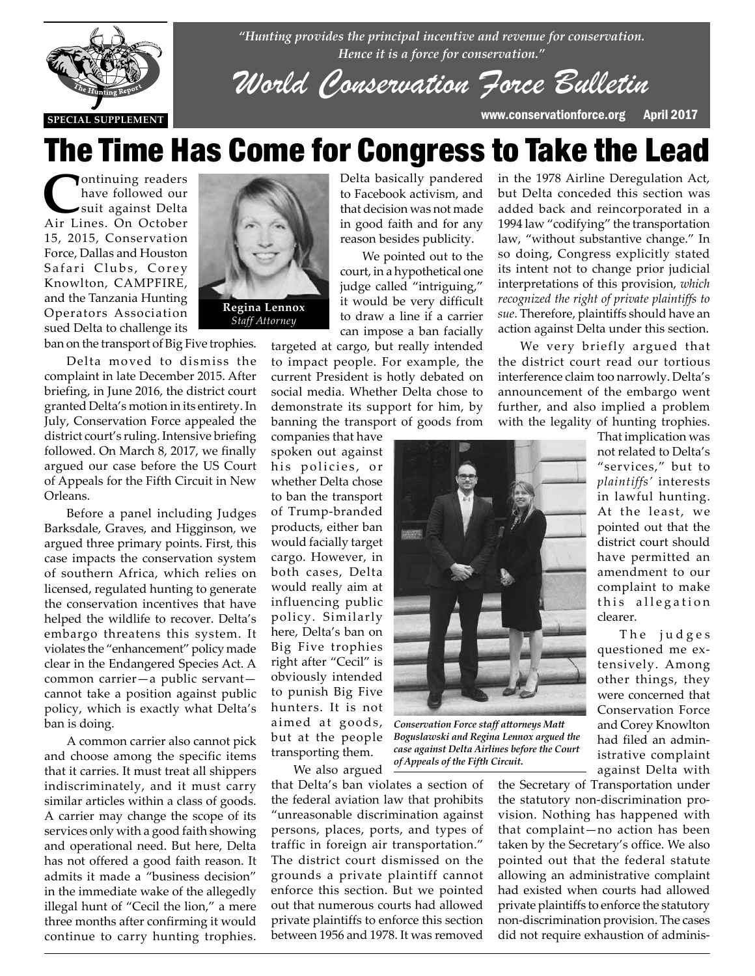

*"Hunting provides the principal incentive and revenue for conservation. Hence it is a force for conservation."*

*World Conservation Force Bulletin*

**SPECIAL SUPPLEMENT** www.conservationforce.org April 2017

in the 1978 Airline Deregulation Act, but Delta conceded this section was added back and reincorporated in a 1994 law "codifying" the transportation law, "without substantive change." In so doing, Congress explicitly stated

# The Time Has Come for Congress to Take the Lead

**C**ontinuing readers have followed our suit against Delta Air Lines. On October 15, 2015, Conservation Force, Dallas and Houston Safari Clubs, Corey Knowlton, CAMPFIRE, and the Tanzania Hunting Operators Association sued Delta to challenge its



ban on the transport of Big Five trophies.

Delta moved to dismiss the complaint in late December 2015. After briefing, in June 2016, the district court granted Delta's motion in its entirety. In July, Conservation Force appealed the district court's ruling. Intensive briefing followed. On March 8, 2017, we finally argued our case before the US Court of Appeals for the Fifth Circuit in New Orleans.

Before a panel including Judges Barksdale, Graves, and Higginson, we argued three primary points. First, this case impacts the conservation system of southern Africa, which relies on licensed, regulated hunting to generate the conservation incentives that have helped the wildlife to recover. Delta's embargo threatens this system. It violates the "enhancement" policy made clear in the Endangered Species Act. A common carrier—a public servant cannot take a position against public policy, which is exactly what Delta's ban is doing.

A common carrier also cannot pick and choose among the specific items that it carries. It must treat all shippers indiscriminately, and it must carry similar articles within a class of goods. A carrier may change the scope of its services only with a good faith showing and operational need. But here, Delta has not offered a good faith reason. It admits it made a "business decision" in the immediate wake of the allegedly illegal hunt of "Cecil the lion," a mere three months after confirming it would continue to carry hunting trophies.



Delta basically pandered to Facebook activism, and that decision was not made in good faith and for any reason besides publicity.

We pointed out to the court, in a hypothetical one judge called "intriguing," it would be very difficult to draw a line if a carrier can impose a ban facially

targeted at cargo, but really intended to impact people. For example, the current President is hotly debated on social media. Whether Delta chose to demonstrate its support for him, by banning the transport of goods from

companies that have spoken out against his policies, or whether Delta chose to ban the transport of Trump-branded products, either ban would facially target cargo. However, in both cases, Delta would really aim at influencing public policy. Similarly here, Delta's ban on Big Five trophies right after "Cecil" is obviously intended to punish Big Five hunters. It is not aimed at goods, but at the people transporting them.

We also argued

that Delta's ban violates a section of the federal aviation law that prohibits "unreasonable discrimination against persons, places, ports, and types of traffic in foreign air transportation." The district court dismissed on the grounds a private plaintiff cannot enforce this section. But we pointed out that numerous courts had allowed private plaintiffs to enforce this section between 1956 and 1978. It was removed

its intent not to change prior judicial interpretations of this provision, *which recognized the right of private plaintiffs to sue*. Therefore, plaintiffs should have an action against Delta under this section. We very briefly argued that the district court read our tortious interference claim too narrowly. Delta's announcement of the embargo went further, and also implied a problem

with the legality of hunting trophies.

*Conservation Force staff attorneys Matt Boguslawski and Regina Lennox argued the case against Delta Airlines before the Court of Appeals of the Fifth Circuit.*

the Secretary of Transportation under the statutory non-discrimination provision. Nothing has happened with that complaint—no action has been taken by the Secretary's office. We also pointed out that the federal statute allowing an administrative complaint had existed when courts had allowed private plaintiffs to enforce the statutory non-discrimination provision. The cases did not require exhaustion of adminis-

not related to Delta's "services," but to *plaintiffs'* interests in lawful hunting. At the least, we pointed out that the district court should have permitted an amendment to our complaint to make this allegation clearer.

That implication was

The judges questioned me extensively. Among other things, they were concerned that Conservation Force and Corey Knowlton had filed an administrative complaint against Delta with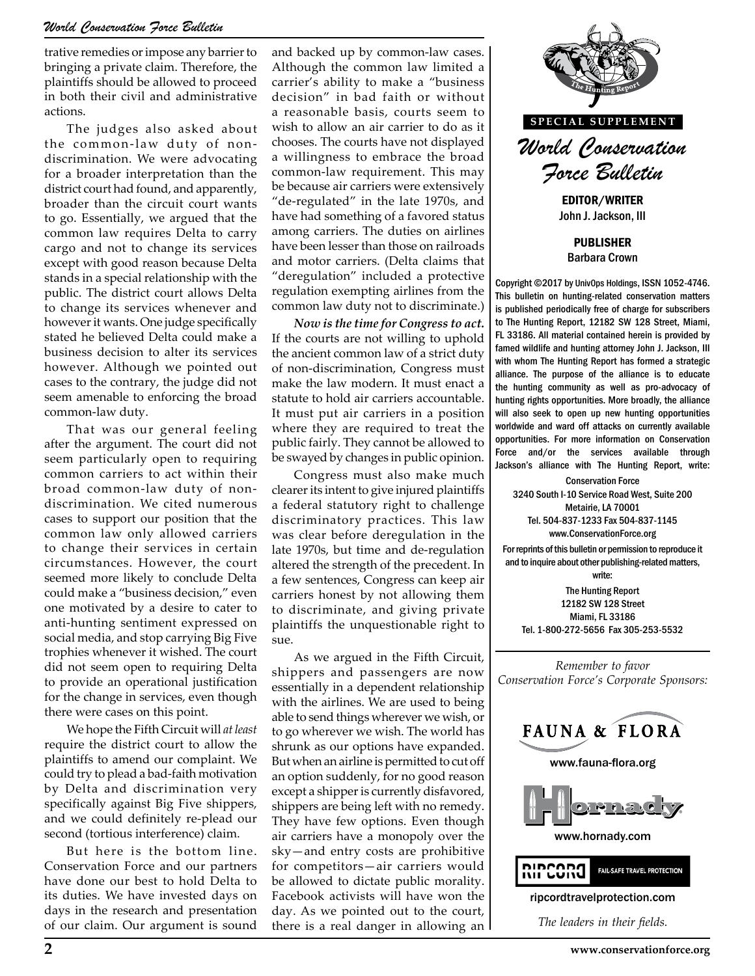trative remedies or impose any barrier to bringing a private claim. Therefore, the plaintiffs should be allowed to proceed in both their civil and administrative actions.

The judges also asked about the common-law duty of nondiscrimination. We were advocating for a broader interpretation than the district court had found, and apparently, broader than the circuit court wants to go. Essentially, we argued that the common law requires Delta to carry cargo and not to change its services except with good reason because Delta stands in a special relationship with the public. The district court allows Delta to change its services whenever and however it wants. One judge specifically stated he believed Delta could make a business decision to alter its services however. Although we pointed out cases to the contrary, the judge did not seem amenable to enforcing the broad common-law duty.

That was our general feeling after the argument. The court did not seem particularly open to requiring common carriers to act within their broad common-law duty of nondiscrimination. We cited numerous cases to support our position that the common law only allowed carriers to change their services in certain circumstances. However, the court seemed more likely to conclude Delta could make a "business decision," even one motivated by a desire to cater to anti-hunting sentiment expressed on social media, and stop carrying Big Five trophies whenever it wished. The court did not seem open to requiring Delta to provide an operational justification for the change in services, even though there were cases on this point.

We hope the Fifth Circuit will *at least* require the district court to allow the plaintiffs to amend our complaint. We could try to plead a bad-faith motivation by Delta and discrimination very specifically against Big Five shippers, and we could definitely re-plead our second (tortious interference) claim.

But here is the bottom line. Conservation Force and our partners have done our best to hold Delta to its duties. We have invested days on days in the research and presentation of our claim. Our argument is sound

and backed up by common-law cases. Although the common law limited a carrier's ability to make a "business decision" in bad faith or without a reasonable basis, courts seem to wish to allow an air carrier to do as it chooses. The courts have not displayed a willingness to embrace the broad common-law requirement. This may be because air carriers were extensively "de-regulated" in the late 1970s, and have had something of a favored status among carriers. The duties on airlines have been lesser than those on railroads and motor carriers. (Delta claims that "deregulation" included a protective regulation exempting airlines from the common law duty not to discriminate.)

*Now is the time for Congress to act.* If the courts are not willing to uphold the ancient common law of a strict duty of non-discrimination, Congress must make the law modern. It must enact a statute to hold air carriers accountable. It must put air carriers in a position where they are required to treat the public fairly. They cannot be allowed to be swayed by changes in public opinion.

Congress must also make much clearer its intent to give injured plaintiffs a federal statutory right to challenge discriminatory practices. This law was clear before deregulation in the late 1970s, but time and de-regulation altered the strength of the precedent. In a few sentences, Congress can keep air carriers honest by not allowing them to discriminate, and giving private plaintiffs the unquestionable right to sue.

As we argued in the Fifth Circuit, shippers and passengers are now essentially in a dependent relationship with the airlines. We are used to being able to send things wherever we wish, or to go wherever we wish. The world has shrunk as our options have expanded. But when an airline is permitted to cut off an option suddenly, for no good reason except a shipper is currently disfavored, shippers are being left with no remedy. They have few options. Even though air carriers have a monopoly over the sky—and entry costs are prohibitive for competitors—air carriers would be allowed to dictate public morality. Facebook activists will have won the day. As we pointed out to the court, there is a real danger in allowing an



John J. Jackson, III

PUBLISHER Barbara Crown

Copyright ©2017 by UnivOps Holdings, ISSN 1052-4746. This bulletin on hunting-related conservation matters is published periodically free of charge for subscribers to The Hunting Report, 12182 SW 128 Street, Miami, FL 33186. All material contained herein is provided by famed wildlife and hunting attorney John J. Jackson, III with whom The Hunting Report has formed a strategic alliance. The purpose of the alliance is to educate the hunting community as well as pro-advocacy of hunting rights opportunities. More broadly, the alliance will also seek to open up new hunting opportunities worldwide and ward off attacks on currently available opportunities. For more information on Conservation Force and/or the services available through Jackson's alliance with The Hunting Report, write:

Conservation Force 3240 South I-10 Service Road West, Suite 200 Metairie, LA 70001 Tel. 504-837-1233 Fax 504-837-1145 www.ConservationForce.org

For reprints of this bulletin or permission to reproduce it and to inquire about other publishing-related matters, write:

The Hunting Report 12182 SW 128 Street Miami, FL 33186 Tel. 1-800-272-5656 Fax 305-253-5532

*Remember to favor Conservation Force's Corporate Sponsors:*

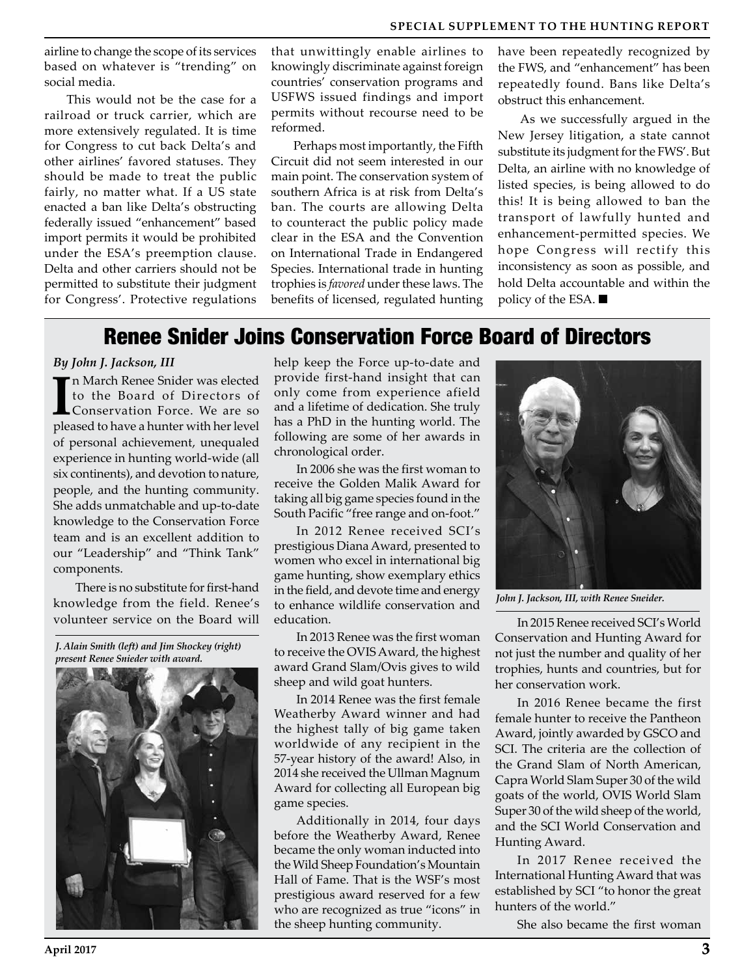airline to change the scope of its services based on whatever is "trending" on social media.

This would not be the case for a railroad or truck carrier, which are more extensively regulated. It is time for Congress to cut back Delta's and other airlines' favored statuses. They should be made to treat the public fairly, no matter what. If a US state enacted a ban like Delta's obstructing federally issued "enhancement" based import permits it would be prohibited under the ESA's preemption clause. Delta and other carriers should not be permitted to substitute their judgment for Congress'. Protective regulations

that unwittingly enable airlines to knowingly discriminate against foreign countries' conservation programs and USFWS issued findings and import permits without recourse need to be reformed.

Perhaps most importantly, the Fifth Circuit did not seem interested in our main point. The conservation system of southern Africa is at risk from Delta's ban. The courts are allowing Delta to counteract the public policy made clear in the ESA and the Convention on International Trade in Endangered Species. International trade in hunting trophies is *favored* under these laws. The benefits of licensed, regulated hunting

have been repeatedly recognized by the FWS, and "enhancement" has been repeatedly found. Bans like Delta's obstruct this enhancement.

As we successfully argued in the New Jersey litigation, a state cannot substitute its judgment for the FWS'. But Delta, an airline with no knowledge of listed species, is being allowed to do this! It is being allowed to ban the transport of lawfully hunted and enhancement-permitted species. We hope Congress will rectify this inconsistency as soon as possible, and hold Delta accountable and within the policy of the ESA.

### Renee Snider Joins Conservation Force Board of Directors

#### *By John J. Jackson, III*

In March Renee Snider was elected<br>to the Board of Directors of<br>Conservation Force. We are so<br>pleased to have a hunter with her level n March Renee Snider was elected to the Board of Directors of Conservation Force. We are so of personal achievement, unequaled experience in hunting world-wide (all six continents), and devotion to nature, people, and the hunting community. She adds unmatchable and up-to-date knowledge to the Conservation Force team and is an excellent addition to our "Leadership" and "Think Tank" components.

There is no substitute for first-hand knowledge from the field. Renee's volunteer service on the Board will

*J. Alain Smith (left) and Jim Shockey (right) present Renee Snieder with award.*



help keep the Force up-to-date and provide first-hand insight that can only come from experience afield and a lifetime of dedication. She truly has a PhD in the hunting world. The following are some of her awards in chronological order.

In 2006 she was the first woman to receive the Golden Malik Award for taking all big game species found in the South Pacific "free range and on-foot."

In 2012 Renee received SCI's prestigious Diana Award, presented to women who excel in international big game hunting, show exemplary ethics in the field, and devote time and energy to enhance wildlife conservation and education.

In 2013 Renee was the first woman to receive the OVIS Award, the highest award Grand Slam/Ovis gives to wild sheep and wild goat hunters.

In 2014 Renee was the first female Weatherby Award winner and had the highest tally of big game taken worldwide of any recipient in the 57-year history of the award! Also, in 2014 she received the Ullman Magnum Award for collecting all European big game species.

Additionally in 2014, four days before the Weatherby Award, Renee became the only woman inducted into the Wild Sheep Foundation's Mountain Hall of Fame. That is the WSF's most prestigious award reserved for a few who are recognized as true "icons" in the sheep hunting community.



*John J. Jackson, III, with Renee Sneider.*

In 2015 Renee received SCI's World Conservation and Hunting Award for not just the number and quality of her trophies, hunts and countries, but for her conservation work.

In 2016 Renee became the first female hunter to receive the Pantheon Award, jointly awarded by GSCO and SCI. The criteria are the collection of the Grand Slam of North American, Capra World Slam Super 30 of the wild goats of the world, OVIS World Slam Super 30 of the wild sheep of the world, and the SCI World Conservation and Hunting Award.

In 2017 Renee received the International Hunting Award that was established by SCI "to honor the great hunters of the world."

She also became the first woman